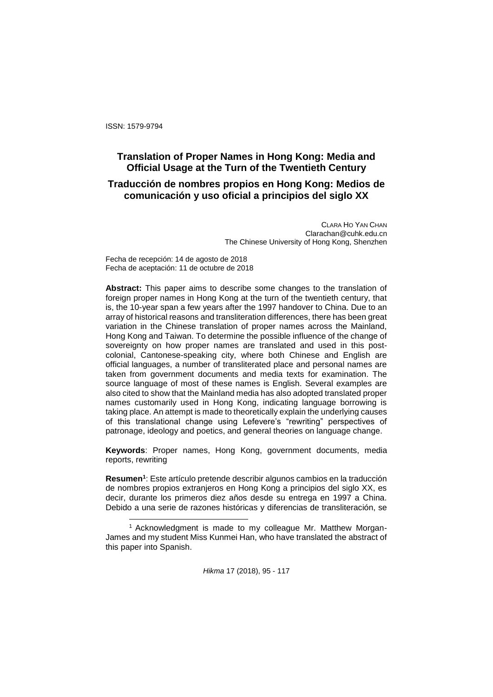ISSN: 1579-9794

l

# **Translation of Proper Names in Hong Kong: Media and Official Usage at the Turn of the Twentieth Century**

# **Traducción de nombres propios en Hong Kong: Medios de comunicación y uso oficial a principios del siglo XX**

CLARA HO YAN CHAN Clarachan@cuhk.edu.cn The Chinese University of Hong Kong, Shenzhen

Fecha de recepción: 14 de agosto de 2018 Fecha de aceptación: 11 de octubre de 2018

**Abstract:** This paper aims to describe some changes to the translation of foreign proper names in Hong Kong at the turn of the twentieth century, that is, the 10-year span a few years after the 1997 handover to China. Due to an array of historical reasons and transliteration differences, there has been great variation in the Chinese translation of proper names across the Mainland, Hong Kong and Taiwan. To determine the possible influence of the change of sovereignty on how proper names are translated and used in this postcolonial, Cantonese-speaking city, where both Chinese and English are official languages, a number of transliterated place and personal names are taken from government documents and media texts for examination. The source language of most of these names is English. Several examples are also cited to show that the Mainland media has also adopted translated proper names customarily used in Hong Kong, indicating language borrowing is taking place. An attempt is made to theoretically explain the underlying causes of this translational change using Lefevere's "rewriting" perspectives of patronage, ideology and poetics, and general theories on language change.

**Keywords**: Proper names, Hong Kong, government documents, media reports, rewriting

**Resumen<sup>1</sup>** : Este artículo pretende describir algunos cambios en la traducción de nombres propios extranjeros en Hong Kong a principios del siglo XX, es decir, durante los primeros diez años desde su entrega en 1997 a China. Debido a una serie de razones históricas y diferencias de transliteración, se

<sup>1</sup> Acknowledgment is made to my colleague Mr. Matthew Morgan-James and my student Miss Kunmei Han, who have translated the abstract of this paper into Spanish.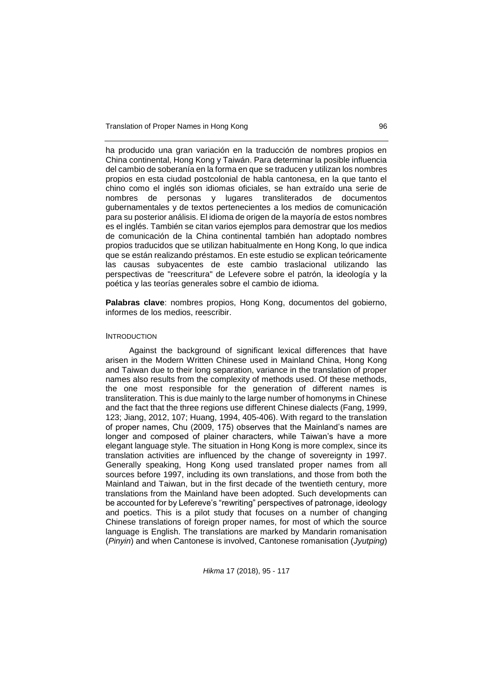Translation of Proper Names in Hong Kong 96

ha producido una gran variación en la traducción de nombres propios en China continental, Hong Kong y Taiwán. Para determinar la posible influencia del cambio de soberanía en la forma en que se traducen y utilizan los nombres propios en esta ciudad postcolonial de habla cantonesa, en la que tanto el chino como el inglés son idiomas oficiales, se han extraído una serie de nombres de personas y lugares transliterados de documentos gubernamentales y de textos pertenecientes a los medios de comunicación para su posterior análisis. El idioma de origen de la mayoría de estos nombres es el inglés. También se citan varios ejemplos para demostrar que los medios de comunicación de la China continental también han adoptado nombres propios traducidos que se utilizan habitualmente en Hong Kong, lo que indica que se están realizando préstamos. En este estudio se explican teóricamente las causas subyacentes de este cambio traslacional utilizando las perspectivas de "reescritura" de Lefevere sobre el patrón, la ideología y la poética y las teorías generales sobre el cambio de idioma.

**Palabras clave**: nombres propios, Hong Kong, documentos del gobierno, informes de los medios, reescribir.

#### **INTRODUCTION**

Against the background of significant lexical differences that have arisen in the Modern Written Chinese used in Mainland China, Hong Kong and Taiwan due to their long separation, variance in the translation of proper names also results from the complexity of methods used. Of these methods, the one most responsible for the generation of different names is transliteration. This is due mainly to the large number of homonyms in Chinese and the fact that the three regions use different Chinese dialects (Fang, 1999, 123; Jiang, 2012, 107; Huang, 1994, 405-406). With regard to the translation of proper names, Chu (2009, 175) observes that the Mainland's names are longer and composed of plainer characters, while Taiwan's have a more elegant language style. The situation in Hong Kong is more complex, since its translation activities are influenced by the change of sovereignty in 1997. Generally speaking, Hong Kong used translated proper names from all sources before 1997, including its own translations, and those from both the Mainland and Taiwan, but in the first decade of the twentieth century, more translations from the Mainland have been adopted. Such developments can be accounted for by Lefereve's "rewriting" perspectives of patronage, ideology and poetics. This is a pilot study that focuses on a number of changing Chinese translations of foreign proper names, for most of which the source language is English. The translations are marked by Mandarin romanisation (*Pinyin*) and when Cantonese is involved, Cantonese romanisation (*Jyutping*)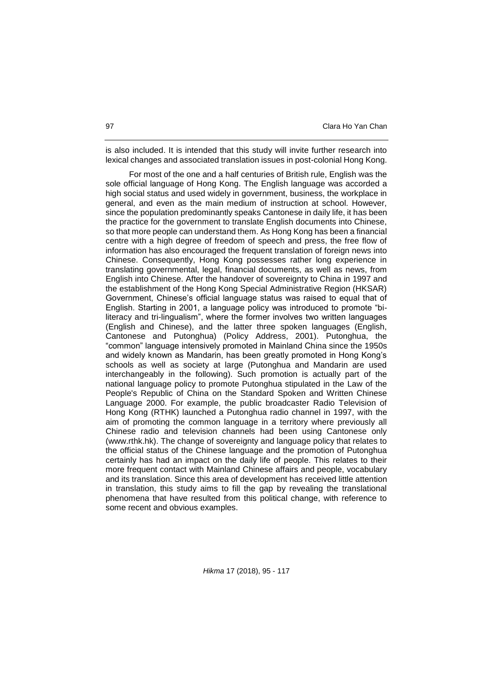is also included. It is intended that this study will invite further research into lexical changes and associated translation issues in post-colonial Hong Kong.

For most of the one and a half centuries of British rule, English was the sole official language of Hong Kong. The English language was accorded a high social status and used widely in government, business, the workplace in general, and even as the main medium of instruction at school. However, since the population predominantly speaks Cantonese in daily life, it has been the practice for the government to translate English documents into Chinese, so that more people can understand them. As Hong Kong has been a financial centre with a high degree of freedom of speech and press, the free flow of information has also encouraged the frequent translation of foreign news into Chinese. Consequently, Hong Kong possesses rather long experience in translating governmental, legal, financial documents, as well as news, from English into Chinese. After the handover of sovereignty to China in 1997 and the establishment of the Hong Kong Special Administrative Region (HKSAR) Government, Chinese's official language status was raised to equal that of English. Starting in 2001, a language policy was introduced to promote "biliteracy and tri-lingualism", where the former involves two written languages (English and Chinese), and the latter three spoken languages (English, Cantonese and Putonghua) (Policy Address, 2001). Putonghua, the "common" language intensively promoted in Mainland China since the 1950s and widely known as Mandarin, has been greatly promoted in Hong Kong's schools as well as society at large (Putonghua and Mandarin are used interchangeably in the following). Such promotion is actually part of the national language policy to promote Putonghua stipulated in the Law of the People's Republic of China on the Standard Spoken and Written Chinese Language 2000. For example, the public broadcaster Radio Television of Hong Kong (RTHK) launched a Putonghua radio channel in 1997, with the aim of promoting the common language in a territory where previously all Chinese radio and television channels had been using Cantonese only (www.rthk.hk). The change of sovereignty and language policy that relates to the official status of the Chinese language and the promotion of Putonghua certainly has had an impact on the daily life of people. This relates to their more frequent contact with Mainland Chinese affairs and people, vocabulary and its translation. Since this area of development has received little attention in translation, this study aims to fill the gap by revealing the translational phenomena that have resulted from this political change, with reference to some recent and obvious examples.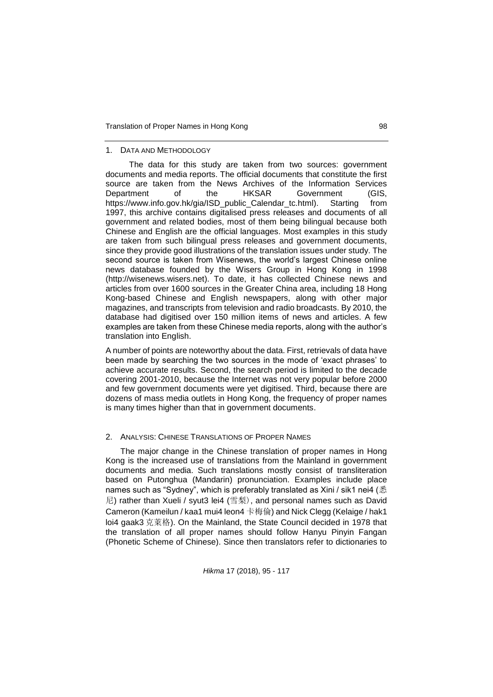#### 1. DATA AND METHODOLOGY

The data for this study are taken from two sources: government documents and media reports. The official documents that constitute the first source are taken from the News Archives of the Information Services Department of the HKSAR Government (GIS, https://www.info.gov.hk/gia/ISD\_public\_Calendar\_tc.html). Starting from 1997, this archive contains digitalised press releases and documents of all government and related bodies, most of them being bilingual because both Chinese and English are the official languages. Most examples in this study are taken from such bilingual press releases and government documents, since they provide good illustrations of the translation issues under study. The second source is taken from Wisenews, the world's largest Chinese online news database founded by the Wisers Group in Hong Kong in 1998 (http://wisenews.wisers.net). To date, it has collected Chinese news and articles from over 1600 sources in the Greater China area, including 18 Hong Kong-based Chinese and English newspapers, along with other major magazines, and transcripts from television and radio broadcasts. By 2010, the database had digitised over 150 million items of news and articles. A few examples are taken from these Chinese media reports, along with the author's translation into English.

A number of points are noteworthy about the data. First, retrievals of data have been made by searching the two sources in the mode of 'exact phrases' to achieve accurate results. Second, the search period is limited to the decade covering 2001-2010, because the Internet was not very popular before 2000 and few government documents were yet digitised. Third, because there are dozens of mass media outlets in Hong Kong, the frequency of proper names is many times higher than that in government documents.

#### 2. ANALYSIS: CHINESE TRANSLATIONS OF PROPER NAMES

The major change in the Chinese translation of proper names in Hong Kong is the increased use of translations from the Mainland in government documents and media. Such translations mostly consist of transliteration based on Putonghua (Mandarin) pronunciation. Examples include place names such as "Sydney", which is preferably translated as Xini / sik1 nei4 (悉 尼) rather than Xueli / syut3 lei4 (雪梨), and personal names such as David Cameron (Kameilun / kaa1 mui4 leon4 卡梅倫) and Nick Clegg (Kelaige / hak1 loi4 gaak3 克萊格). On the Mainland, the State Council decided in 1978 that the translation of all proper names should follow Hanyu Pinyin Fangan (Phonetic Scheme of Chinese). Since then translators refer to dictionaries to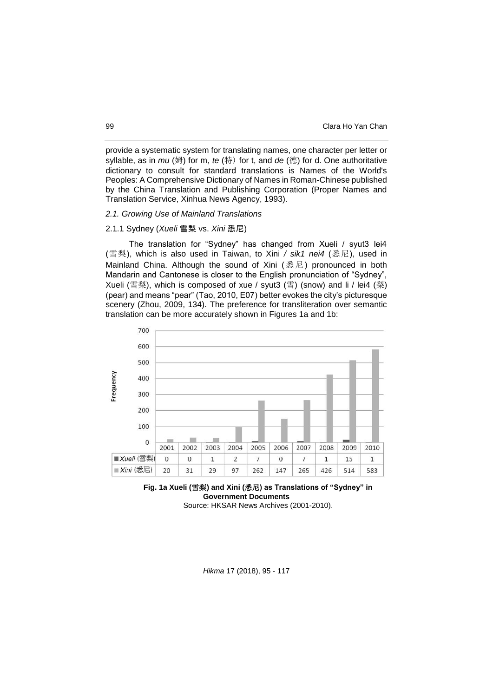provide a systematic system for translating names, one character per letter or syllable, as in *mu* (姆) for m, *te* (特) for t, and *de* (德) for d. One authoritative dictionary to consult for standard translations is Names of the World's Peoples: A Comprehensive Dictionary of Names in Roman-Chinese published by the China Translation and Publishing Corporation (Proper Names and Translation Service, Xinhua News Agency, 1993).

## *2.1. Growing Use of Mainland Translations*

## 2.1.1 Sydney (*Xueli* 雪梨 vs. *Xini* 悉尼)

The translation for "Sydney" has changed from Xueli / syut3 lei4 (雪梨), which is also used in Taiwan, to Xini */ sik1 nei4* (悉尼), used in Mainland China. Although the sound of Xini (悉尼) pronounced in both Mandarin and Cantonese is closer to the English pronunciation of "Sydney", Xueli (雪梨), which is composed of xue / syut3 (雪) (snow) and li / lei4 (梨) (pear) and means "pear" (Tao, 2010, E07) better evokes the city's picturesque scenery (Zhou, 2009, 134). The preference for transliteration over semantic translation can be more accurately shown in Figures 1a and 1b:





Source: HKSAR News Archives (2001-2010).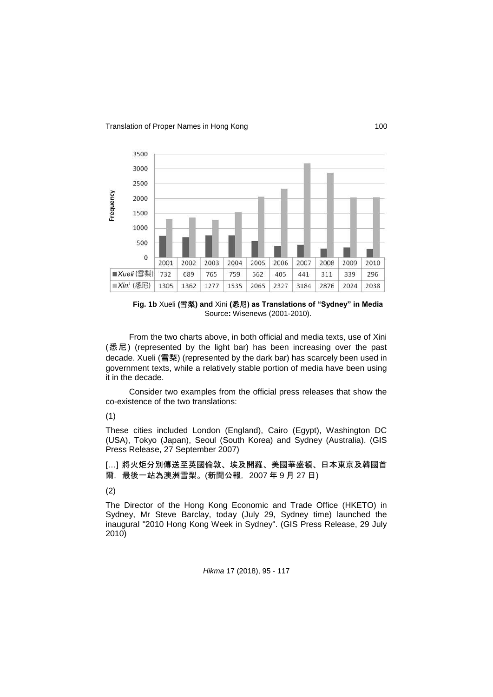

**Fig. 1b** Xueli **(**雪梨**) and** Xini **(**悉尼**) as Translations of "Sydney" in Media**  Source**:** Wisenews (2001-2010).

From the two charts above, in both official and media texts, use of Xini (悉尼) (represented by the light bar) has been increasing over the past decade. Xueli (雪梨) (represented by the dark bar) has scarcely been used in government texts, while a relatively stable portion of media have been using it in the decade.

Consider two examples from the official press releases that show the co-existence of the two translations:

# (1)

These cities included London (England), Cairo (Egypt), Washington DC (USA), Tokyo (Japan), Seoul (South Korea) and Sydney (Australia). (GIS Press Release, 27 September 2007)

[…] 將火炬分別傳送至英國倫敦、埃及開羅、美國華盛頓、日本東京及韓國首 爾, 最後一站為澳洲雪梨。(新聞公報, 2007年9月27日)

## (2)

The Director of the Hong Kong Economic and Trade Office (HKETO) in Sydney, Mr Steve Barclay, today (July 29, Sydney time) launched the inaugural "2010 Hong Kong Week in Sydney". (GIS Press Release, 29 July 2010)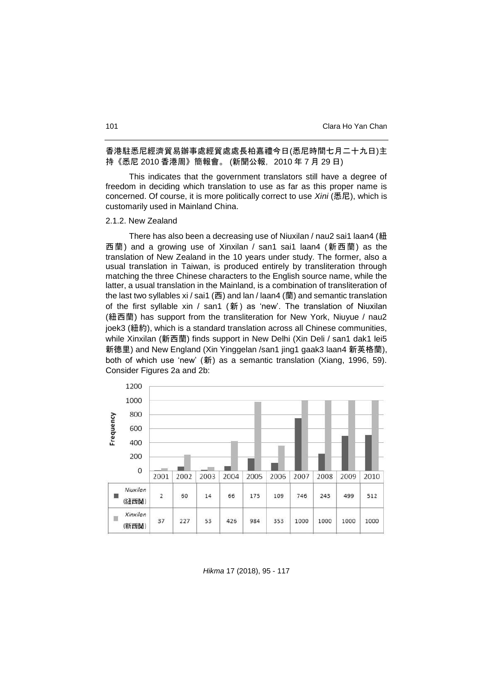## 香港駐悉尼經濟貿易辦事處經貿處處長柏嘉禮今日(悉尼時間七月二十九日)主 持《悉尼 2010 香港周》簡報會。 (新聞公報,2010 年 7 月 29 日)

This indicates that the government translators still have a degree of freedom in deciding which translation to use as far as this proper name is concerned. Of course, it is more politically correct to use *Xini* (悉尼), which is customarily used in Mainland China.

## 2.1.2. New Zealand

There has also been a decreasing use of Niuxilan / nau2 sai1 laan4 (紐 西蘭) and a growing use of Xinxilan / san1 sai1 laan4 (新西蘭) as the translation of New Zealand in the 10 years under study. The former, also a usual translation in Taiwan, is produced entirely by transliteration through matching the three Chinese characters to the English source name, while the latter, a usual translation in the Mainland, is a combination of transliteration of the last two syllables xi / sai1 (西) and lan / laan4 (蘭) and semantic translation of the first syllable xin / san1 (新) as 'new'. The translation of Niuxilan (紐西蘭) has support from the transliteration for New York, Niuyue / nau2 joek3 (紐約), which is a standard translation across all Chinese communities, while Xinxilan (新西蘭) finds support in New Delhi (Xin Deli / san1 dak1 lei5 新德里) and New England (Xin Yinggelan /san1 jing1 gaak3 laan4 新英格蘭), both of which use 'new' (新) as a semantic translation (Xiang, 1996, 59). Consider Figures 2a and 2b:

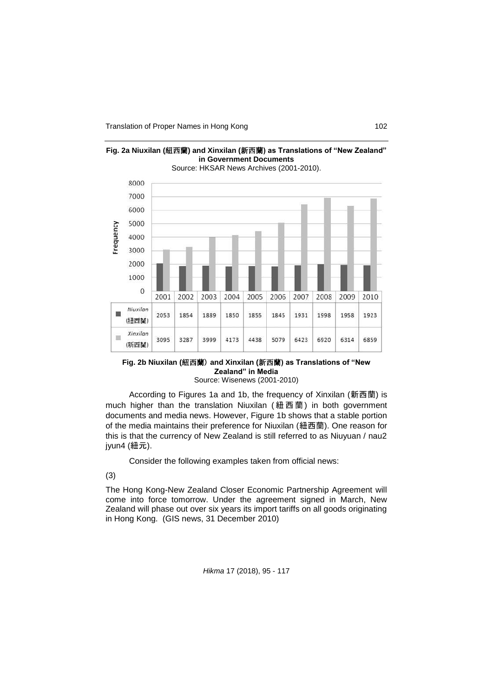

**Fig. 2a Niuxilan (**紐西蘭**) and Xinxilan (**新西蘭**) as Translations of "New Zealand"** 

## **Fig. 2b Niuxilan (**紐西蘭) **and Xinxilan (**新西蘭**) as Translations of "New Zealand" in Media**

Source: Wisenews (2001-2010)

According to Figures 1a and 1b, the frequency of Xinxilan (新西蘭) is much higher than the translation Niuxilan (紐西蘭) in both government documents and media news. However, Figure 1b shows that a stable portion of the media maintains their preference for Niuxilan (紐西蘭). One reason for this is that the currency of New Zealand is still referred to as Niuyuan / nau2 jyun4 (紐元).

Consider the following examples taken from official news:

# (3)

The Hong Kong-New Zealand Closer Economic Partnership Agreement will come into force tomorrow. Under the agreement signed in March, New Zealand will phase out over six years its import tariffs on all goods originating in Hong Kong. (GIS news, 31 December 2010)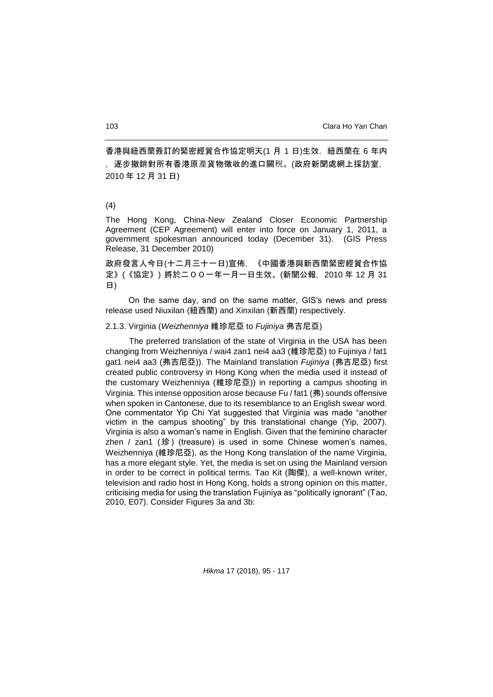香港與紐西蘭簽訂的緊密經貿合作協定明天(1 月 1 日)生效,紐西蘭在 6 年内 ,逐步撤銷對所有香港原產貨物徵收的進口關稅。(政府新聞處網上採訪室, 2010 年 12 月 31 日)

### (4)

The Hong Kong, China-New Zealand Closer Economic Partnership Agreement (CEP Agreement) will enter into force on January 1, 2011, a government spokesman announced today (December 31). (GIS Press Release, 31 December 2010)

政府發言人今日(十二月三十一日)宣佈,《中國香港與新西蘭緊密經貿合作協 定》(《協定》) 將於二00一年一月一日生效。(新聞公報,2010 年 12 月 31 日)

 On the same day, and on the same matter, GIS's news and press release used Niuxilan (紐西蘭) and Xinxilan (新西蘭) respectively.

## 2.1.3. Virginia (*Weizhenniya* 維珍尼亞 to *Fujiniya* 弗吉尼亞)

The preferred translation of the state of Virginia in the USA has been changing from Weizhenniya / wai4 zan1 nei4 aa3 (維珍尼亞) to Fujiniya / fat1 gat1 nei4 aa3 (弗吉尼亞)). The Mainland translation *Fujiniya* (弗吉尼亞) first created public controversy in Hong Kong when the media used it instead of the customary Weizhenniya (維珍尼亞)) in reporting a campus shooting in Virginia. This intense opposition arose because Fu / fat1 (弗) sounds offensive when spoken in Cantonese, due to its resemblance to an English swear word. One commentator Yip Chi Yat suggested that Virginia was made "another victim in the campus shooting" by this translational change (Yip, 2007). Virginia is also a woman's name in English. Given that the feminine character zhen / zan1 (珍) (treasure) is used in some Chinese women's names, Weizhenniya (維珍尼亞), as the Hong Kong translation of the name Virginia, has a more elegant style. Yet, the media is set on using the Mainland version in order to be correct in political terms. Tao Kit (陶傑), a well-known writer, television and radio host in Hong Kong, holds a strong opinion on this matter, criticising media for using the translation Fujiniya as "politically ignorant" (Tao, 2010, E07). Consider Figures 3a and 3b: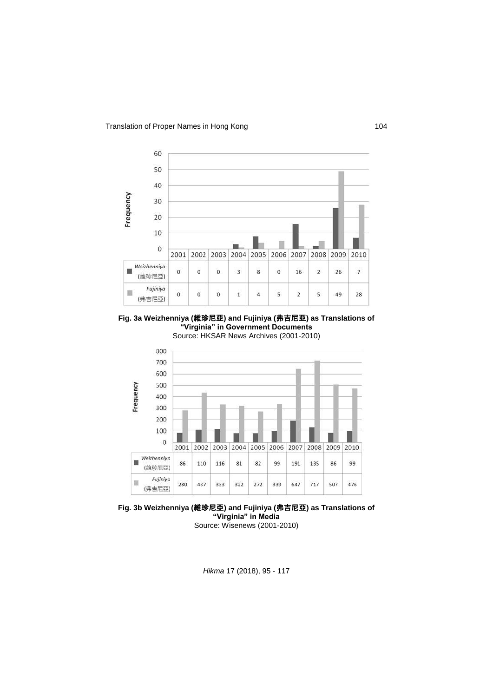

**Fig. 3a Weizhenniya (**維珍尼亞**) and Fujiniya (**弗吉尼亞**) as Translations of "Virginia" in Government Documents** Source: HKSAR News Archives (2001-2010)



**Fig. 3b Weizhenniya (**維珍尼亞**) and Fujiniya (**弗吉尼亞**) as Translations of "Virginia" in Media**

Source: Wisenews (2001-2010)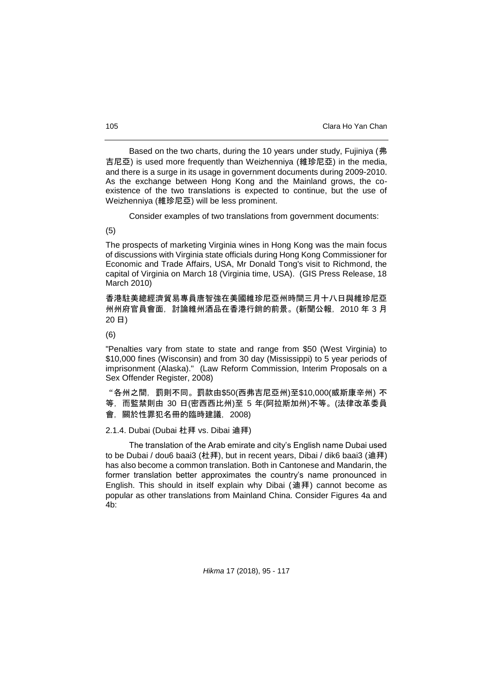Based on the two charts, during the 10 years under study, Fujiniya (弗 吉尼亞) is used more frequently than Weizhenniya (維珍尼亞) in the media, and there is a surge in its usage in government documents during 2009-2010. As the exchange between Hong Kong and the Mainland grows, the coexistence of the two translations is expected to continue, but the use of Weizhenniya (維珍尼亞) will be less prominent.

Consider examples of two translations from government documents:

(5)

The prospects of marketing Virginia wines in Hong Kong was the main focus of discussions with Virginia state officials during Hong Kong Commissioner for Economic and Trade Affairs, USA, Mr Donald Tong's visit to Richmond, the capital of Virginia on March 18 (Virginia time, USA). (GIS Press Release, 18 March 2010)

香港駐美總經濟貿易專員唐智強在美國維珍尼亞州時間三月十八日與維珍尼亞 州州府官員會面,討論維州酒品在香港行銷的前景。(新聞公報,2010 年 3 月 20 日)

(6)

"Penalties vary from state to state and range from \$50 (West Virginia) to \$10,000 fines (Wisconsin) and from 30 day (Mississippi) to 5 year periods of imprisonment (Alaska)." (Law Reform Commission, Interim Proposals on a Sex Offender Register, 2008)

"各州之間,罰則不同。罰款由\$50(西弗吉尼亞州)至\$10,000(威斯康辛州) 不 等,而監禁則由 30 日(密西西比州)至 5 年(阿拉斯加州)不等。(法律改革委員

會,關於性罪犯名冊的臨時建議,2008)

2.1.4. Dubai (Dubai 杜拜 vs. Dibai 迪拜)

The translation of the Arab emirate and city's English name Dubai used to be Dubai / dou6 baai3 (杜拜), but in recent years, Dibai / dik6 baai3 (迪拜) has also become a common translation. Both in Cantonese and Mandarin, the former translation better approximates the country's name pronounced in English. This should in itself explain why Dibai (迪拜) cannot become as popular as other translations from Mainland China. Consider Figures 4a and  $4<sub>b</sub>$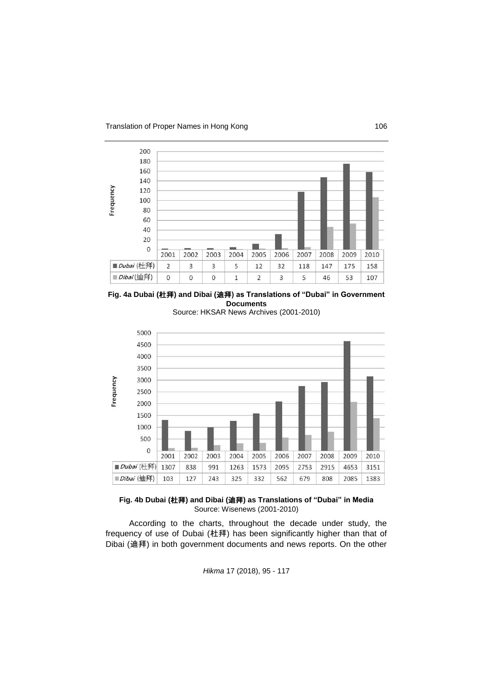







**Fig. 4b Dubai (**杜拜**) and Dibai (**迪拜**) as Translations of "Dubai" in Media** Source: Wisenews (2001-2010)

According to the charts, throughout the decade under study, the frequency of use of Dubai (杜拜) has been significantly higher than that of Dibai (迪拜) in both government documents and news reports. On the other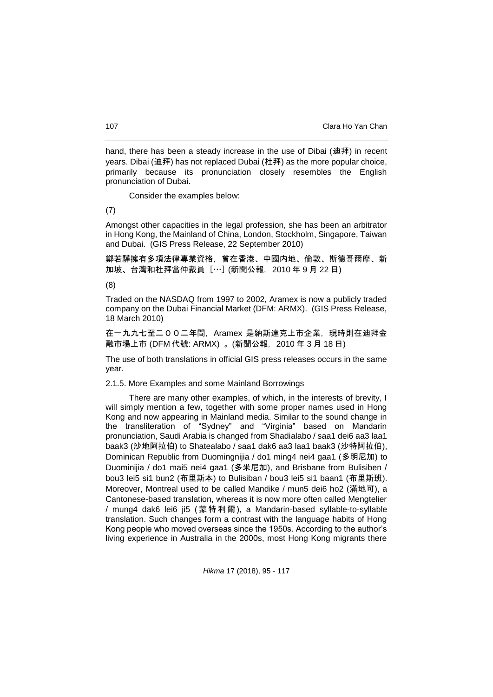hand, there has been a steady increase in the use of Dibai (迪拜) in recent years. Dibai (迪拜) has not replaced Dubai (杜拜) as the more popular choice, primarily because its pronunciation closely resembles the English pronunciation of Dubai.

Consider the examples below:

(7)

Amongst other capacities in the legal profession, she has been an arbitrator in Hong Kong, the Mainland of China, London, Stockholm, Singapore, Taiwan and Dubai. (GIS Press Release, 22 September 2010)

鄭若驊擁有多項法律專業資格,曾在香港、中國内地、倫敦、斯德哥爾摩、新 加坡、台灣和杜拜當仲裁員 […] (新聞公報,2010 年 9 月 22 日)

(8)

Traded on the NASDAQ from 1997 to 2002, Aramex is now a publicly traded company on the Dubai Financial Market (DFM: ARMX). (GIS Press Release, 18 March 2010)

在一九九七至二00二年間, Aramex 是納斯達克上市企業, 現時則在迪拜金 融市場上市 (DFM 代號: ARMX) 。(新聞公報, 2010 年 3 月 18 日)

The use of both translations in official GIS press releases occurs in the same year.

2.1.5. More Examples and some Mainland Borrowings

There are many other examples, of which, in the interests of brevity, I will simply mention a few, together with some proper names used in Hong Kong and now appearing in Mainland media. Similar to the sound change in the transliteration of "Sydney" and "Virginia" based on Mandarin pronunciation, Saudi Arabia is changed from Shadialabo / saa1 dei6 aa3 laa1 baak3 (沙地阿拉伯) to Shatealabo / saa1 dak6 aa3 laa1 baak3 (沙特阿拉伯), Dominican Republic from Duomingnijia / do1 ming4 nei4 gaa1 (多明尼加) to Duominijia / do1 mai5 nei4 gaa1 (多米尼加), and Brisbane from Bulisiben / bou3 lei5 si1 bun2 (布里斯本) to Bulisiban / bou3 lei5 si1 baan1 (布里斯班). Moreover, Montreal used to be called Mandike / mun5 dei6 ho2 (滿地可), a Cantonese-based translation, whereas it is now more often called Mengtelier / mung4 dak6 lei6 ji5 ( 蒙特利爾), a Mandarin-based syllable-to-syllable translation. Such changes form a contrast with the language habits of Hong Kong people who moved overseas since the 1950s. According to the author's living experience in Australia in the 2000s, most Hong Kong migrants there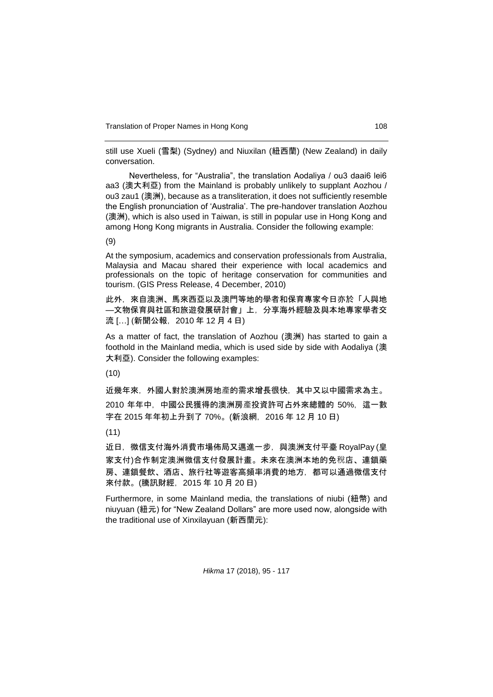still use Xueli (雪梨) (Sydney) and Niuxilan (紐西蘭) (New Zealand) in daily conversation.

Nevertheless, for "Australia", the translation Aodaliya / ou3 daai6 lei6 aa3 (澳大利亞) from the Mainland is probably unlikely to supplant Aozhou / ou3 zau1 (澳洲), because as a transliteration, it does not sufficiently resemble the English pronunciation of 'Australia'. The pre-handover translation Aozhou (澳洲), which is also used in Taiwan, is still in popular use in Hong Kong and among Hong Kong migrants in Australia. Consider the following example:

(9)

At the symposium, academics and conservation professionals from Australia, Malaysia and Macau shared their experience with local academics and professionals on the topic of heritage conservation for communities and tourism. (GIS Press Release, 4 December, 2010)

此外,來自澳洲、馬來西亞以及澳門等地的學者和保育專家今日亦於「人與地 —文物保育與社區和旅遊發展研討會」上,分享海外經驗及與本地專家學者交 流 […] (新聞公報, 2010年12月4日)

As a matter of fact, the translation of Aozhou (澳洲) has started to gain a foothold in the Mainland media, which is used side by side with Aodaliya (澳 大利亞). Consider the following examples:

(10)

近幾年來,外國人對於澳洲房地產的需求增長很快,其中又以中國需求為主。 2010 年年中,中國公民獲得的澳洲房產投資許可占外來總體的 50%,這一數 字在 2015 年年初上升到了 70%。(新浪網,2016 年 12 月 10 日)

(11)

近日, 微信支付海外消費市場佈局又邁進一步, 與澳洲支付平臺 RoyalPay (皇 家支付)合作制定澳洲微信支付發展計畫。未來在澳洲本地的免稅店、連鎖藥 房、連鎖餐飲、酒店、旅行社等遊客高頻率消費的地方,都可以通過微信支付 來付款。(騰訊財經,2015 年 10 月 20 日)

Furthermore, in some Mainland media, the translations of niubi (紐幣) and niuyuan (紐元) for "New Zealand Dollars" are more used now, alongside with the traditional use of Xinxilayuan (新西蘭元):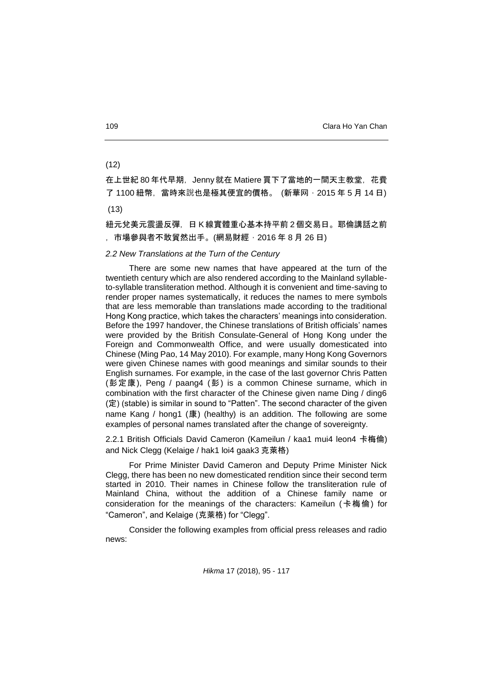(12)

在上世紀 80 年代早期, Jenny 就在 Matiere 買下了當地的一間天主教堂, 花費 了 1100 紐幣, 當時來說也是極其便宜的價格。 (新華网, 2015 年 5 月 14 日)

(13)

紐元兌美元震盪反彈,日 K 線實體重心基本持平前 2 個交易日。耶倫講話之前 ,市場參與者不敢貿然出手。(網易財經,2016 年 8 月 26 日)

## *2.2 New Translations at the Turn of the Century*

There are some new names that have appeared at the turn of the twentieth century which are also rendered according to the Mainland syllableto-syllable transliteration method. Although it is convenient and time-saving to render proper names systematically, it reduces the names to mere symbols that are less memorable than translations made according to the traditional Hong Kong practice, which takes the characters' meanings into consideration. Before the 1997 handover, the Chinese translations of British officials' names were provided by the British Consulate-General of Hong Kong under the Foreign and Commonwealth Office, and were usually domesticated into Chinese (Ming Pao, 14 May 2010). For example, many Hong Kong Governors were given Chinese names with good meanings and similar sounds to their English surnames. For example, in the case of the last governor Chris Patten (彭定康), Peng / paang4 (彭) is a common Chinese surname, which in combination with the first character of the Chinese given name Ding / ding6 (定) (stable) is similar in sound to "Patten". The second character of the given name Kang / hong1 (康) (healthy) is an addition. The following are some examples of personal names translated after the change of sovereignty.

2.2.1 British Officials David Cameron (Kameilun / kaa1 mui4 leon4 卡梅倫) and Nick Clegg (Kelaige / hak1 loi4 gaak3 克萊格)

For Prime Minister David Cameron and Deputy Prime Minister Nick Clegg, there has been no new domesticated rendition since their second term started in 2010. Their names in Chinese follow the transliteration rule of Mainland China, without the addition of a Chinese family name or consideration for the meanings of the characters: Kameilun (卡梅倫) for "Cameron", and Kelaige (克萊格) for "Clegg".

Consider the following examples from official press releases and radio news: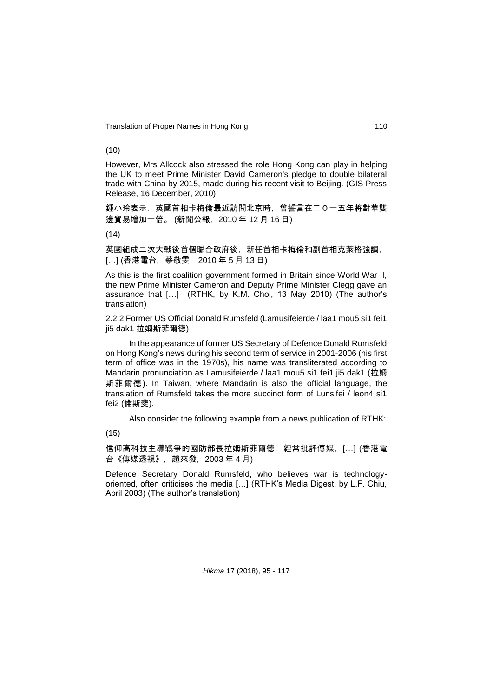Translation of Proper Names in Hong Kong 110

#### (10)

However, Mrs Allcock also stressed the role Hong Kong can play in helping the UK to meet Prime Minister David Cameron's pledge to double bilateral trade with China by 2015, made during his recent visit to Beijing. (GIS Press Release, 16 December, 2010)

鍾小玲表示,英國首相卡梅倫最近訪問北京時,曾誓言在二0一五年將對華雙 邊貿易增加一倍。 (新聞公報,2010 年 12 月 16 日)

 $(14)$ 

英國組成二次大戰後首個聯合政府後, 新任首相卡梅倫和副首相克萊格強調, […] (香港電台,蔡敬雯,2010 年 5 月 13 日)

As this is the first coalition government formed in Britain since World War II, the new Prime Minister Cameron and Deputy Prime Minister Clegg gave an assurance that […] (RTHK, by K.M. Choi, 13 May 2010) (The author's translation)

2.2.2 Former US Official Donald Rumsfeld (Lamusifeierde / laa1 mou5 si1 fei1 ji5 dak1 拉姆斯菲爾德)

In the appearance of former US Secretary of Defence Donald Rumsfeld on Hong Kong's news during his second term of service in 2001-2006 (his first term of office was in the 1970s), his name was transliterated according to Mandarin pronunciation as Lamusifeierde / laa1 mou5 si1 fei1 ji5 dak1 (拉姆 斯菲爾德). In Taiwan, where Mandarin is also the official language, the translation of Rumsfeld takes the more succinct form of Lunsifei / leon4 si1 fei2 (倫斯斐).

Also consider the following example from a news publication of RTHK:

(15)

信仰高科技主導戰爭的國防部長拉姆斯菲爾德, 經常批評傳媒, […] (香港電 台《傳媒透視》,趙來發,2003 年 4 月)

Defence Secretary Donald Rumsfeld, who believes war is technologyoriented, often criticises the media […] (RTHK's Media Digest, by L.F. Chiu, April 2003) (The author's translation)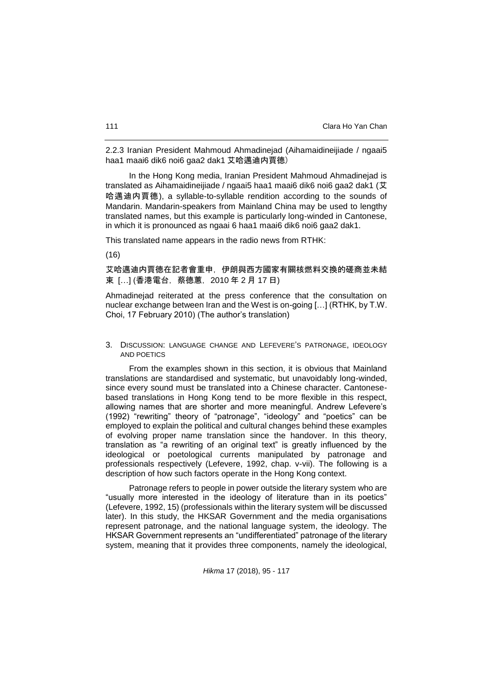2.2.3 Iranian President Mahmoud Ahmadinejad (Aihamaidineijiade / ngaai5 haa1 maai6 dik6 noi6 gaa2 dak1 艾哈邁迪内賈德)

In the Hong Kong media, Iranian President Mahmoud Ahmadinejad is translated as Aihamaidineijiade / ngaai5 haa1 maai6 dik6 noi6 gaa2 dak1 (艾 哈邁迪内賈德), a syllable-to-syllable rendition according to the sounds of Mandarin. Mandarin-speakers from Mainland China may be used to lengthy translated names, but this example is particularly long-winded in Cantonese, in which it is pronounced as ngaai 6 haa1 maai6 dik6 noi6 gaa2 dak1.

This translated name appears in the radio news from RTHK:

(16)

艾哈邁迪内賈德在記者會重申,伊朗與西方國家有關核燃料交換的磋商並未結 束 […] (香港電台, 蔡德蕙, 2010 年 2 月 17 日)

Ahmadinejad reiterated at the press conference that the consultation on nuclear exchange between Iran and the West is on-going […] (RTHK, by T.W. Choi, 17 February 2010) (The author's translation)

3. DISCUSSION: LANGUAGE CHANGE AND LEFEVERE'S PATRONAGE, IDEOLOGY AND POETICS

From the examples shown in this section, it is obvious that Mainland translations are standardised and systematic, but unavoidably long-winded, since every sound must be translated into a Chinese character. Cantonesebased translations in Hong Kong tend to be more flexible in this respect, allowing names that are shorter and more meaningful. Andrew Lefevere's (1992) "rewriting" theory of "patronage", "ideology" and "poetics" can be employed to explain the political and cultural changes behind these examples of evolving proper name translation since the handover. In this theory, translation as "a rewriting of an original text" is greatly influenced by the ideological or poetological currents manipulated by patronage and professionals respectively (Lefevere, 1992, chap. v-vii). The following is a description of how such factors operate in the Hong Kong context.

Patronage refers to people in power outside the literary system who are "usually more interested in the ideology of literature than in its poetics" (Lefevere, 1992, 15) (professionals within the literary system will be discussed later). In this study, the HKSAR Government and the media organisations represent patronage, and the national language system, the ideology. The HKSAR Government represents an "undifferentiated" patronage of the literary system, meaning that it provides three components, namely the ideological,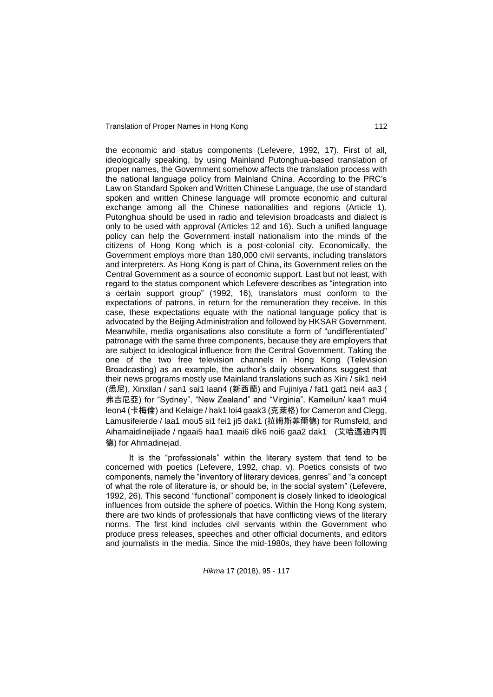Translation of Proper Names in Hong Kong 112

the economic and status components (Lefevere, 1992, 17). First of all, ideologically speaking, by using Mainland Putonghua-based translation of proper names, the Government somehow affects the translation process with the national language policy from Mainland China. According to the PRC's Law on Standard Spoken and Written Chinese Language, the use of standard spoken and written Chinese language will promote economic and cultural exchange among all the Chinese nationalities and regions (Article 1). Putonghua should be used in radio and television broadcasts and dialect is only to be used with approval (Articles 12 and 16). Such a unified language policy can help the Government install nationalism into the minds of the citizens of Hong Kong which is a post-colonial city. Economically, the Government employs more than 180,000 civil servants, including translators and interpreters. As Hong Kong is part of China, its Government relies on the Central Government as a source of economic support. Last but not least, with regard to the status component which Lefevere describes as "integration into a certain support group" (1992, 16), translators must conform to the expectations of patrons, in return for the remuneration they receive. In this case, these expectations equate with the national language policy that is advocated by the Beijing Administration and followed by HKSAR Government. Meanwhile, media organisations also constitute a form of "undifferentiated" patronage with the same three components, because they are employers that are subject to ideological influence from the Central Government. Taking the one of the two free television channels in Hong Kong (Television Broadcasting) as an example, the author's daily observations suggest that their news programs mostly use Mainland translations such as Xini / sik1 nei4 (悉尼), Xinxilan / san1 sai1 laan4 (新西蘭) and Fujiniya / fat1 gat1 nei4 aa3 ( 弗吉尼亞) for "Sydney", "New Zealand" and "Virginia", Kameilun/ kaa1 mui4 leon4 (卡梅倫) and Kelaige / hak1 loi4 gaak3 (克萊格) for Cameron and Clegg, Lamusifeierde / laa1 mou5 si1 fei1 ji5 dak1 (拉姆斯菲爾德) for Rumsfeld, and Aihamaidineijiade / ngaai5 haa1 maai6 dik6 noi6 gaa2 dak1 (艾哈邁迪内賈 德) for Ahmadinejad.

It is the "professionals" within the literary system that tend to be concerned with poetics (Lefevere, 1992, chap. v). Poetics consists of two components, namely the "inventory of literary devices, genres" and "a concept of what the role of literature is, or should be, in the social system" (Lefevere, 1992, 26). This second "functional" component is closely linked to ideological influences from outside the sphere of poetics. Within the Hong Kong system, there are two kinds of professionals that have conflicting views of the literary norms. The first kind includes civil servants within the Government who produce press releases, speeches and other official documents, and editors and journalists in the media. Since the mid-1980s, they have been following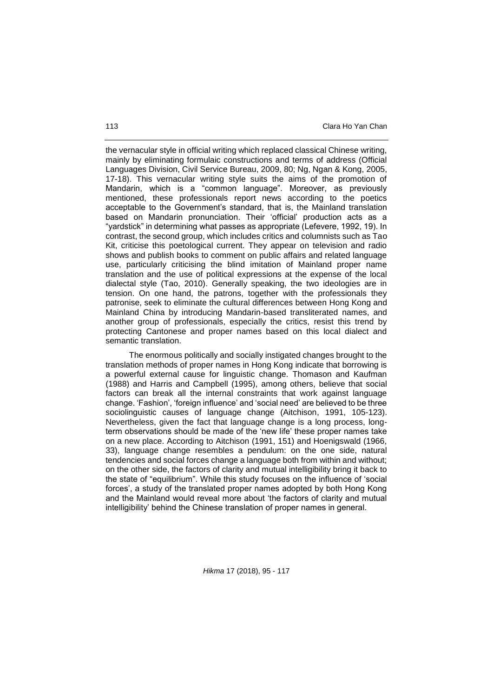the vernacular style in official writing which replaced classical Chinese writing, mainly by eliminating formulaic constructions and terms of address (Official Languages Division, Civil Service Bureau, 2009, 80; Ng, Ngan & Kong, 2005, 17-18). This vernacular writing style suits the aims of the promotion of Mandarin, which is a "common language". Moreover, as previously mentioned, these professionals report news according to the poetics acceptable to the Government's standard, that is, the Mainland translation based on Mandarin pronunciation. Their 'official' production acts as a "yardstick" in determining what passes as appropriate (Lefevere, 1992, 19). In contrast, the second group, which includes critics and columnists such as Tao Kit, criticise this poetological current. They appear on television and radio shows and publish books to comment on public affairs and related language use, particularly criticising the blind imitation of Mainland proper name translation and the use of political expressions at the expense of the local dialectal style (Tao, 2010). Generally speaking, the two ideologies are in tension. On one hand, the patrons, together with the professionals they patronise, seek to eliminate the cultural differences between Hong Kong and Mainland China by introducing Mandarin-based transliterated names, and another group of professionals, especially the critics, resist this trend by protecting Cantonese and proper names based on this local dialect and semantic translation.

The enormous politically and socially instigated changes brought to the translation methods of proper names in Hong Kong indicate that borrowing is a powerful external cause for linguistic change. Thomason and Kaufman (1988) and Harris and Campbell (1995), among others, believe that social factors can break all the internal constraints that work against language change. 'Fashion', 'foreign influence' and 'social need' are believed to be three sociolinguistic causes of language change (Aitchison, 1991, 105-123). Nevertheless, given the fact that language change is a long process, longterm observations should be made of the 'new life' these proper names take on a new place. According to Aitchison (1991, 151) and Hoenigswald (1966, 33), language change resembles a pendulum: on the one side, natural tendencies and social forces change a language both from within and without; on the other side, the factors of clarity and mutual intelligibility bring it back to the state of "equilibrium". While this study focuses on the influence of 'social forces', a study of the translated proper names adopted by both Hong Kong and the Mainland would reveal more about 'the factors of clarity and mutual intelligibility' behind the Chinese translation of proper names in general.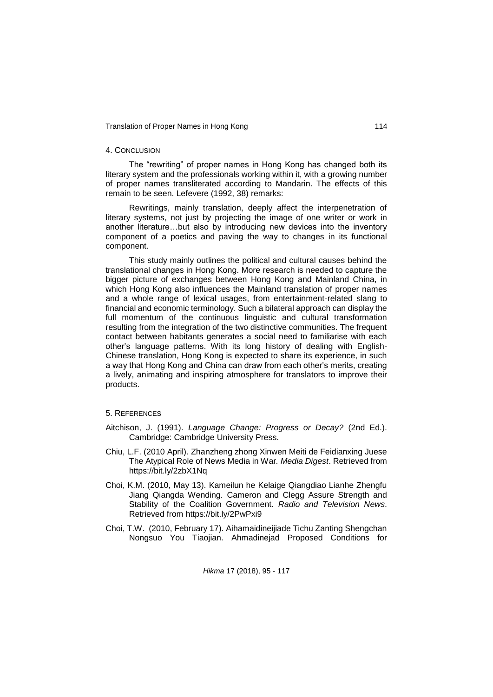#### 4. CONCLUSION

The "rewriting" of proper names in Hong Kong has changed both its literary system and the professionals working within it, with a growing number of proper names transliterated according to Mandarin. The effects of this remain to be seen. Lefevere (1992, 38) remarks:

Rewritings, mainly translation, deeply affect the interpenetration of literary systems, not just by projecting the image of one writer or work in another literature…but also by introducing new devices into the inventory component of a poetics and paving the way to changes in its functional component.

This study mainly outlines the political and cultural causes behind the translational changes in Hong Kong. More research is needed to capture the bigger picture of exchanges between Hong Kong and Mainland China, in which Hong Kong also influences the Mainland translation of proper names and a whole range of lexical usages, from entertainment-related slang to financial and economic terminology. Such a bilateral approach can display the full momentum of the continuous linguistic and cultural transformation resulting from the integration of the two distinctive communities. The frequent contact between habitants generates a social need to familiarise with each other's language patterns. With its long history of dealing with English-Chinese translation, Hong Kong is expected to share its experience, in such a way that Hong Kong and China can draw from each other's merits, creating a lively, animating and inspiring atmosphere for translators to improve their products.

## 5. REFERENCES

- Aitchison, J. (1991). *Language Change: Progress or Decay?* (2nd Ed.). Cambridge: Cambridge University Press.
- Chiu, L.F. (2010 April). Zhanzheng zhong Xinwen Meiti de Feidianxing Juese The Atypical Role of News Media in War*. Media Digest*. Retrieved from https://bit.ly/2zbX1Nq
- Choi, K.M. (2010, May 13). Kameilun he Kelaige Qiangdiao Lianhe Zhengfu Jiang Qiangda Wending. Cameron and Clegg Assure Strength and Stability of the Coalition Government. *Radio and Television News*. Retrieved from https://bit.ly/2PwPxi9
- Choi, T.W. (2010, February 17). Aihamaidineijiade Tichu Zanting Shengchan Nongsuo You Tiaojian. Ahmadinejad Proposed Conditions for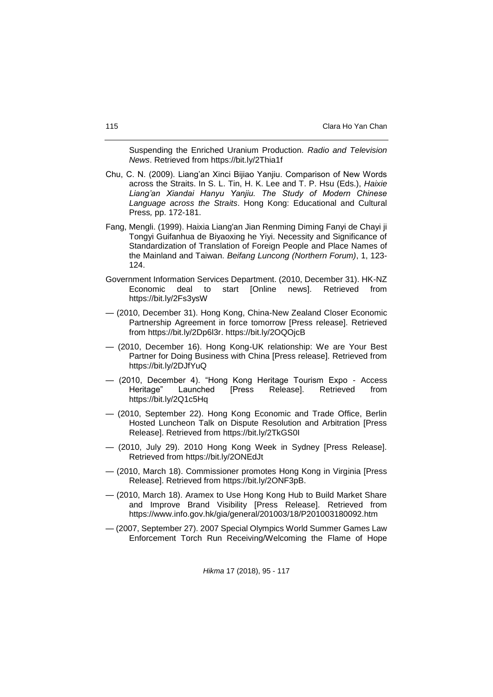Suspending the Enriched Uranium Production. *Radio and Television News*. Retrieved from https://bit.ly/2Thia1f

- Chu, C. N. (2009). Liang'an Xinci Bijiao Yanjiu. Comparison of New Words across the Straits. In S. L. Tin, H. K. Lee and T. P. Hsu (Eds.), *Haixie Liang'an Xiandai Hanyu Yanjiu. The Study of Modern Chinese Language across the Straits*. Hong Kong: Educational and Cultural Press*,* pp. 172-181.
- Fang, Mengli. (1999). Haixia Liang'an Jian Renming Diming Fanyi de Chayi ji Tongyi Guifanhua de Biyaoxing he Yiyi. Necessity and Significance of Standardization of Translation of Foreign People and Place Names of the Mainland and Taiwan. *Beifang Luncong (Northern Forum)*, 1, 123- 124.
- Government Information Services Department. (2010, December 31). HK-NZ Economic deal to start [Online news]. Retrieved from https://bit.ly/2Fs3ysW
- (2010, December 31). Hong Kong, China-New Zealand Closer Economic Partnership Agreement in force tomorrow [Press release]. Retrieved from [https://bit.ly/2Dp6l3r.](https://bit.ly/2Dp6l3r)<https://bit.ly/2OQOjcB>
- (2010, December 16). Hong Kong-UK relationship: We are Your Best Partner for Doing Business with China [Press release]. Retrieved from https://bit.ly/2DJfYuQ
- (2010, December 4). "Hong Kong Heritage Tourism Expo Access Heritage" Launched [Press Release]. Retrieved from <https://bit.ly/2Q1c5Hq>
- (2010, September 22). Hong Kong Economic and Trade Office, Berlin Hosted Luncheon Talk on Dispute Resolution and Arbitration [Press Release]. Retrieved from <https://bit.ly/2TkGS0I>
- (2010, July 29). 2010 Hong Kong Week in Sydney [Press Release]. Retrieved from<https://bit.ly/2ONEdJt>
- (2010, March 18). Commissioner promotes Hong Kong in Virginia [Press Release]. Retrieved from [https://bit.ly/2ONF3pB.](https://bit.ly/2ONF3pB)
- (2010, March 18). Aramex to Use Hong Kong Hub to Build Market Share and Improve Brand Visibility [Press Release]. Retrieved from https://www.info.gov.hk/gia/general/201003/18/P201003180092.htm
- (2007, September 27). 2007 Special Olympics World Summer Games Law Enforcement Torch Run Receiving/Welcoming the Flame of Hope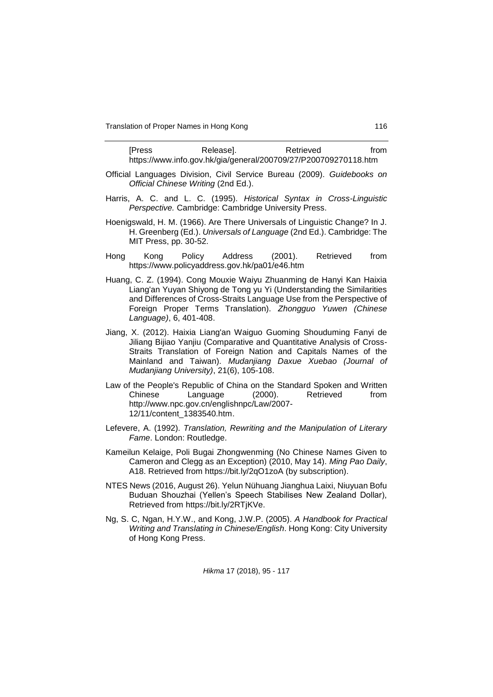Translation of Proper Names in Hong Kong 116

| [Press                                                          | Releasel. | Retrieved | from |
|-----------------------------------------------------------------|-----------|-----------|------|
| https://www.info.gov.hk/gia/general/200709/27/P200709270118.htm |           |           |      |

- Official Languages Division, Civil Service Bureau (2009). *Guidebooks on Official Chinese Writing* (2nd Ed.).
- Harris, A. C. and L. C. (1995). *Historical Syntax in Cross-Linguistic Perspective.* Cambridge: Cambridge University Press.
- Hoenigswald, H. M. (1966). Are There Universals of Linguistic Change? In J. H. Greenberg (Ed.). *Universals of Language* (2nd Ed.). Cambridge: The MIT Press, pp. 30-52.
- Hong Kong Policy Address (2001). Retrieved from https://www.policyaddress.gov.hk/pa01/e46.htm
- Huang, C. Z. (1994). Cong Mouxie Waiyu Zhuanming de Hanyi Kan Haixia Liang'an Yuyan Shiyong de Tong yu Yi (Understanding the Similarities and Differences of Cross-Straits Language Use from the Perspective of Foreign Proper Terms Translation). *Zhongguo Yuwen (Chinese Language)*, 6, 401-408.
- Jiang, X. (2012). Haixia Liang'an Waiguo Guoming Shouduming Fanyi de Jiliang Bijiao Yanjiu (Comparative and Quantitative Analysis of Cross-Straits Translation of Foreign Nation and Capitals Names of the Mainland and Taiwan). *Mudanjiang Daxue Xuebao (Journal of Mudanjiang University)*, 21(6), 105-108.
- Law of the People's Republic of China on the Standard Spoken and Written Chinese Language (2000). Retrieved from http://www.npc.gov.cn/englishnpc/Law/2007- 12/11/content\_1383540.htm.
- Lefevere, A. (1992). *Translation, Rewriting and the Manipulation of Literary Fame*. London: Routledge.
- Kameilun Kelaige, Poli Bugai Zhongwenming (No Chinese Names Given to Cameron and Clegg as an Exception) (2010, May 14). *Ming Pao Daily*, A18. Retrieved from https://bit.ly/2qO1zoA (by subscription).
- NTES News (2016, August 26). Yelun Nühuang Jianghua Laixi, Niuyuan Bofu Buduan Shouzhai (Yellen's Speech Stabilises New Zealand Dollar), Retrieved from [https://bit.ly/2RTjKVe.](https://bit.ly/2RTjKVe)
- Ng, S. C, Ngan, H.Y.W., and Kong, J.W.P. (2005). *A Handbook for Practical Writing and Translating in Chinese/English*. Hong Kong: City University of Hong Kong Press.